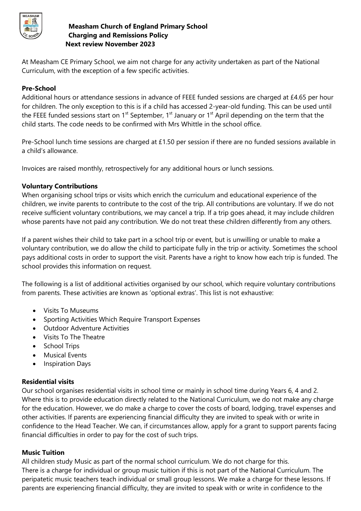

### **Measham Church of England Primary School Charging and Remissions Policy Next review November 2023**

At Measham CE Primary School, we aim not charge for any activity undertaken as part of the National Curriculum, with the exception of a few specific activities.

# **Pre-School**

Additional hours or attendance sessions in advance of FEEE funded sessions are charged at £4.65 per hour for children. The only exception to this is if a child has accessed 2-year-old funding. This can be used until the FEEE funded sessions start on  $1<sup>st</sup>$  September,  $1<sup>st</sup>$  January or  $1<sup>st</sup>$  April depending on the term that the child starts. The code needs to be confirmed with Mrs Whittle in the school office.

Pre-School lunch time sessions are charged at £1.50 per session if there are no funded sessions available in a child's allowance.

Invoices are raised monthly, retrospectively for any additional hours or lunch sessions.

### **Voluntary Contributions**

When organising school trips or visits which enrich the curriculum and educational experience of the children, we invite parents to contribute to the cost of the trip. All contributions are voluntary. If we do not receive sufficient voluntary contributions, we may cancel a trip. If a trip goes ahead, it may include children whose parents have not paid any contribution. We do not treat these children differently from any others.

If a parent wishes their child to take part in a school trip or event, but is unwilling or unable to make a voluntary contribution, we do allow the child to participate fully in the trip or activity. Sometimes the school pays additional costs in order to support the visit. Parents have a right to know how each trip is funded. The school provides this information on request.

The following is a list of additional activities organised by our school, which require voluntary contributions from parents. These activities are known as 'optional extras'. This list is not exhaustive:

- Visits To Museums
- Sporting Activities Which Require Transport Expenses
- Outdoor Adventure Activities
- Visits To The Theatre
- School Trips
- Musical Events
- Inspiration Days

### **Residential visits**

Our school organises residential visits in school time or mainly in school time during Years 6, 4 and 2. Where this is to provide education directly related to the National Curriculum, we do not make any charge for the education. However, we do make a charge to cover the costs of board, lodging, travel expenses and other activities. If parents are experiencing financial difficulty they are invited to speak with or write in confidence to the Head Teacher. We can, if circumstances allow, apply for a grant to support parents facing financial difficulties in order to pay for the cost of such trips.

### **Music Tuition**

All children study Music as part of the normal school curriculum. We do not charge for this. There is a charge for individual or group music tuition if this is not part of the National Curriculum. The peripatetic music teachers teach individual or small group lessons. We make a charge for these lessons. If parents are experiencing financial difficulty, they are invited to speak with or write in confidence to the